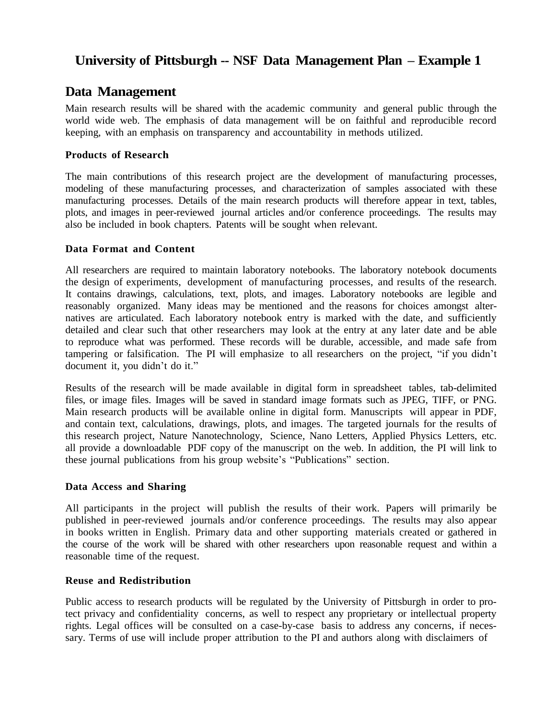# **University of Pittsburgh -- NSF Data Management Plan – Example 1**

## **Data Management**

Main research results will be shared with the academic community and general public through the world wide web. The emphasis of data management will be on faithful and reproducible record keeping, with an emphasis on transparency and accountability in methods utilized.

## **Products of Research**

The main contributions of this research project are the development of manufacturing processes, modeling of these manufacturing processes, and characterization of samples associated with these manufacturing processes. Details of the main research products will therefore appear in text, tables, plots, and images in peer-reviewed journal articles and/or conference proceedings. The results may also be included in book chapters. Patents will be sought when relevant.

## **Data Format and Content**

All researchers are required to maintain laboratory notebooks. The laboratory notebook documents the design of experiments, development of manufacturing processes, and results of the research. It contains drawings, calculations, text, plots, and images. Laboratory notebooks are legible and reasonably organized. Many ideas may be mentioned and the reasons for choices amongst alternatives are articulated. Each laboratory notebook entry is marked with the date, and sufficiently detailed and clear such that other researchers may look at the entry at any later date and be able to reproduce what was performed. These records will be durable, accessible, and made safe from tampering or falsification. The PI will emphasize to all researchers on the project, "if you didn't document it, you didn't do it."

Results of the research will be made available in digital form in spreadsheet tables, tab-delimited files, or image files. Images will be saved in standard image formats such as JPEG, TIFF, or PNG. Main research products will be available online in digital form. Manuscripts will appear in PDF, and contain text, calculations, drawings, plots, and images. The targeted journals for the results of this research project, Nature Nanotechnology, Science, Nano Letters, Applied Physics Letters, etc. all provide a downloadable PDF copy of the manuscript on the web. In addition, the PI will link to these journal publications from his group website's "Publications" section.

## **Data Access and Sharing**

All participants in the project will publish the results of their work. Papers will primarily be published in peer-reviewed journals and/or conference proceedings. The results may also appear in books written in English. Primary data and other supporting materials created or gathered in the course of the work will be shared with other researchers upon reasonable request and within a reasonable time of the request.

## **Reuse and Redistribution**

Public access to research products will be regulated by the University of Pittsburgh in order to protect privacy and confidentiality concerns, as well to respect any proprietary or intellectual property rights. Legal offices will be consulted on a case-by-case basis to address any concerns, if necessary. Terms of use will include proper attribution to the PI and authors along with disclaimers of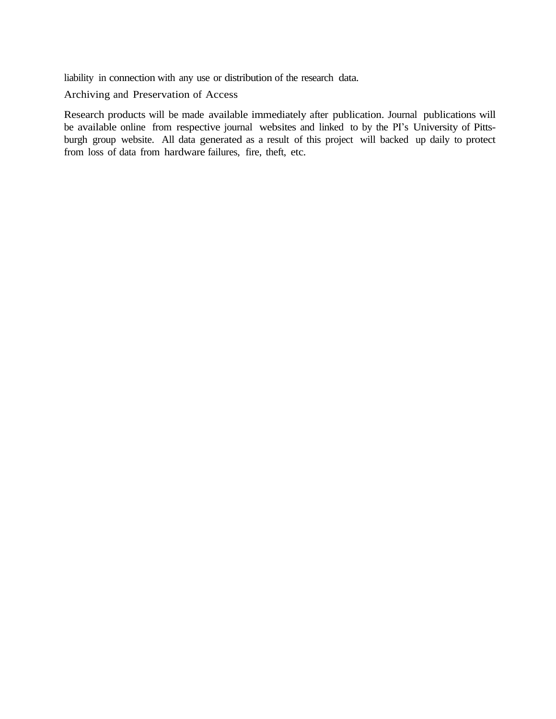liability in connection with any use or distribution of the research data.

Archiving and Preservation of Access

Research products will be made available immediately after publication. Journal publications will be available online from respective journal websites and linked to by the PI's University of Pittsburgh group website. All data generated as a result of this project will backed up daily to protect from loss of data from hardware failures, fire, theft, etc.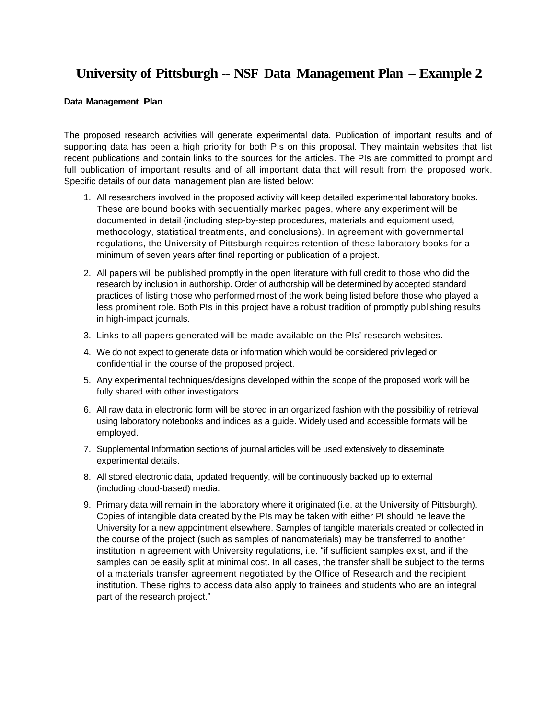# **University of Pittsburgh -- NSF Data Management Plan – Example 2**

#### **Data Management Plan**

The proposed research activities will generate experimental data. Publication of important results and of supporting data has been a high priority for both PIs on this proposal. They maintain websites that list recent publications and contain links to the sources for the articles. The PIs are committed to prompt and full publication of important results and of all important data that will result from the proposed work. Specific details of our data management plan are listed below:

- 1. All researchers involved in the proposed activity will keep detailed experimental laboratory books. These are bound books with sequentially marked pages, where any experiment will be documented in detail (including step-by-step procedures, materials and equipment used, methodology, statistical treatments, and conclusions). In agreement with governmental regulations, the University of Pittsburgh requires retention of these laboratory books for a minimum of seven years after final reporting or publication of a project.
- 2. All papers will be published promptly in the open literature with full credit to those who did the research by inclusion in authorship. Order of authorship will be determined by accepted standard practices of listing those who performed most of the work being listed before those who played a less prominent role. Both PIs in this project have a robust tradition of promptly publishing results in high-impact journals.
- 3. Links to all papers generated will be made available on the PIs' research websites.
- 4. We do not expect to generate data or information which would be considered privileged or confidential in the course of the proposed project.
- 5. Any experimental techniques/designs developed within the scope of the proposed work will be fully shared with other investigators.
- 6. All raw data in electronic form will be stored in an organized fashion with the possibility of retrieval using laboratory notebooks and indices as a guide. Widely used and accessible formats will be employed.
- 7. Supplemental Information sections of journal articles will be used extensively to disseminate experimental details.
- 8. All stored electronic data, updated frequently, will be continuously backed up to external (including cloud-based) media.
- 9. Primary data will remain in the laboratory where it originated (i.e. at the University of Pittsburgh). Copies of intangible data created by the PIs may be taken with either PI should he leave the University for a new appointment elsewhere. Samples of tangible materials created or collected in the course of the project (such as samples of nanomaterials) may be transferred to another institution in agreement with University regulations, i.e. "if sufficient samples exist, and if the samples can be easily split at minimal cost. In all cases, the transfer shall be subject to the terms of a materials transfer agreement negotiated by the Office of Research and the recipient institution. These rights to access data also apply to trainees and students who are an integral part of the research project."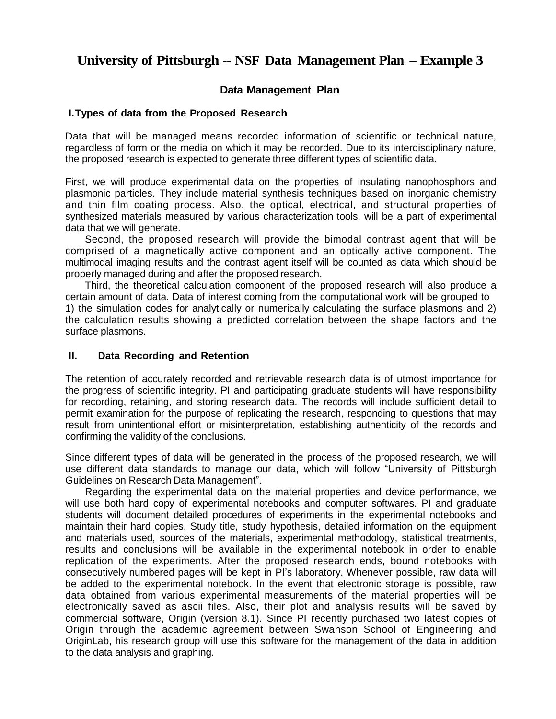# **University of Pittsburgh -- NSF Data Management Plan – Example 3**

## **Data Management Plan**

## **I.Types of data from the Proposed Research**

Data that will be managed means recorded information of scientific or technical nature, regardless of form or the media on which it may be recorded. Due to its interdisciplinary nature, the proposed research is expected to generate three different types of scientific data.

First, we will produce experimental data on the properties of insulating nanophosphors and plasmonic particles. They include material synthesis techniques based on inorganic chemistry and thin film coating process. Also, the optical, electrical, and structural properties of synthesized materials measured by various characterization tools, will be a part of experimental data that we will generate.

Second, the proposed research will provide the bimodal contrast agent that will be comprised of a magnetically active component and an optically active component. The multimodal imaging results and the contrast agent itself will be counted as data which should be properly managed during and after the proposed research.

Third, the theoretical calculation component of the proposed research will also produce a certain amount of data. Data of interest coming from the computational work will be grouped to 1) the simulation codes for analytically or numerically calculating the surface plasmons and 2) the calculation results showing a predicted correlation between the shape factors and the surface plasmons.

### **II. Data Recording and Retention**

The retention of accurately recorded and retrievable research data is of utmost importance for the progress of scientific integrity. PI and participating graduate students will have responsibility for recording, retaining, and storing research data. The records will include sufficient detail to permit examination for the purpose of replicating the research, responding to questions that may result from unintentional effort or misinterpretation, establishing authenticity of the records and confirming the validity of the conclusions.

Since different types of data will be generated in the process of the proposed research, we will use different data standards to manage our data, which will follow "University of Pittsburgh Guidelines on Research Data Management".

Regarding the experimental data on the material properties and device performance, we will use both hard copy of experimental notebooks and computer softwares. PI and graduate students will document detailed procedures of experiments in the experimental notebooks and maintain their hard copies. Study title, study hypothesis, detailed information on the equipment and materials used, sources of the materials, experimental methodology, statistical treatments, results and conclusions will be available in the experimental notebook in order to enable replication of the experiments. After the proposed research ends, bound notebooks with consecutively numbered pages will be kept in PI's laboratory. Whenever possible, raw data will be added to the experimental notebook. In the event that electronic storage is possible, raw data obtained from various experimental measurements of the material properties will be electronically saved as ascii files. Also, their plot and analysis results will be saved by commercial software, Origin (version 8.1). Since PI recently purchased two latest copies of Origin through the academic agreement between Swanson School of Engineering and OriginLab, his research group will use this software for the management of the data in addition to the data analysis and graphing.